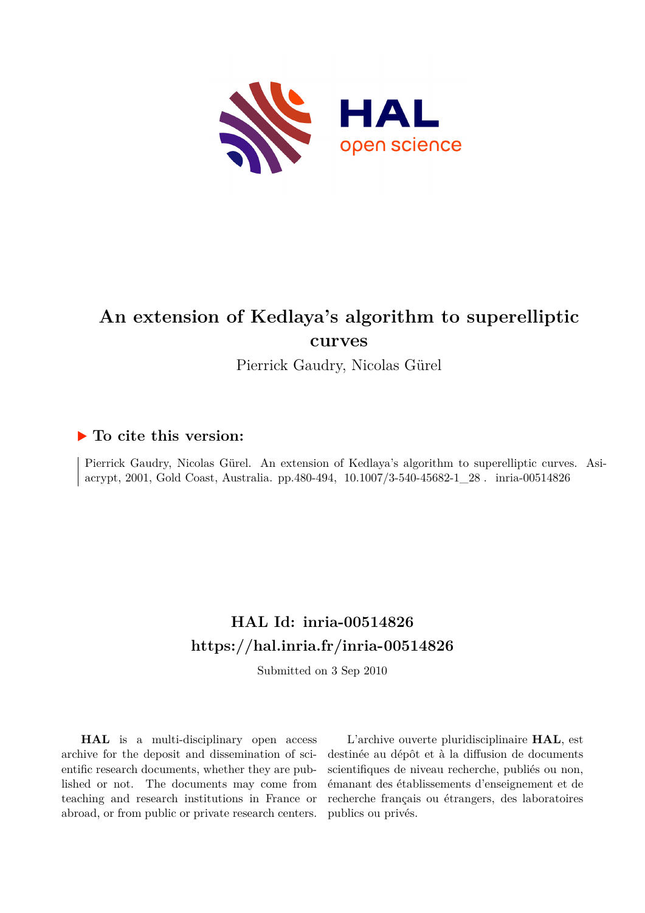

# **An extension of Kedlaya's algorithm to superelliptic curves**

Pierrick Gaudry, Nicolas Gürel

# **To cite this version:**

Pierrick Gaudry, Nicolas Gürel. An extension of Kedlaya's algorithm to superelliptic curves. Asiacrypt, 2001, Gold Coast, Australia. pp.480-494, 10.1007/3-540-45682-1\_28. inria-00514826

# **HAL Id: inria-00514826 <https://hal.inria.fr/inria-00514826>**

Submitted on 3 Sep 2010

**HAL** is a multi-disciplinary open access archive for the deposit and dissemination of scientific research documents, whether they are published or not. The documents may come from teaching and research institutions in France or abroad, or from public or private research centers.

L'archive ouverte pluridisciplinaire **HAL**, est destinée au dépôt et à la diffusion de documents scientifiques de niveau recherche, publiés ou non, émanant des établissements d'enseignement et de recherche français ou étrangers, des laboratoires publics ou privés.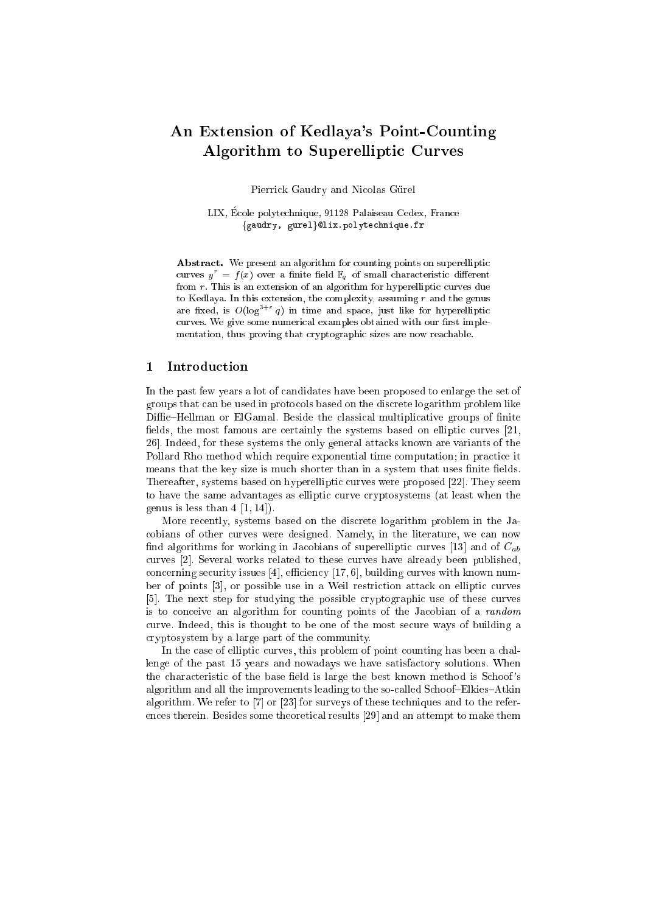# An Extension of Kedlaya's Point-Counting Algorithm to Superellipti Curves

Pierrick Gaudry and Nicolas Gürel

LIX, École polytechnique, 91128 Palaiseau Cedex, France fgaudry, gurelglix.polyte
hnique.fr

Abstract. We present an algorithm for counting points on superelliptic curves  $y = f(x)$  over a nnite neid  $\mathbb{F}_q$  of small characteristic different from  $r$ . This is an extension of an algorithm for hyperelliptic curves due to Kedlaya. In this extension, the complexity, assuming  $r$  and the genus are fixed, is  $O(10g^{3+\epsilon}q)$  in time and space, just like for hyperelliptic curves. We give some numerical examples obtained with our first implementation, thus proving that cryptographic sizes are now reachable.

# 1 Introdu
tion

In the past few years a lot of candidates have been proposed to enlarge the set of groups that an be used in proto
ols based on the dis
rete logarithm problem like Diffie-Hellman or ElGamal. Beside the classical multiplicative groups of finite fields, the most famous are certainly the systems based on elliptic curves [21, 26. Indeed, for these systems the only general attacks known are variants of the Pollard Rho method which require exponential time computation; in practice it means that the key size is much shorter than in a system that uses finite fields. Thereafter, systems based on hyperelliptic curves were proposed [22]. They seem to have the same advantages as elliptic curve cryptosystems (at least when the genus is less than  $4 \overline{1, 14}$ .

More recently, systems based on the discrete logarithm problem in the Jacobians of other curves were designed. Namely, in the literature, we can now find algorithms for working in Jacobians of superelliptic curves [13] and of  $C_{ab}$ curves [2]. Several works related to these curves have already been published, concerning security issues  $[4]$ , efficiency  $[17, 6]$ , building curves with known number of points [3], or possible use in a Weil restriction attack on elliptic curves [5]. The next step for studying the possible cryptographic use of these curves is to conceive an algorithm for counting points of the Jacobian of a *random* urve. Indeed, this is thought to be one of the most se
ure ways of building a ryptosystem by a large part of the ommunity.

In the case of elliptic curves, this problem of point counting has been a challenge of the past 15 years and nowadays we have satisfactory solutions. When the characteristic of the base field is large the best known method is Schoof's algorithm and all the improvements leading to the so-called Schoof-Elkies-Atkin algorithm. We refer to  $[7]$  or  $[23]$  for surveys of these techniques and to the references therein. Besides some theoretical results [29] and an attempt to make them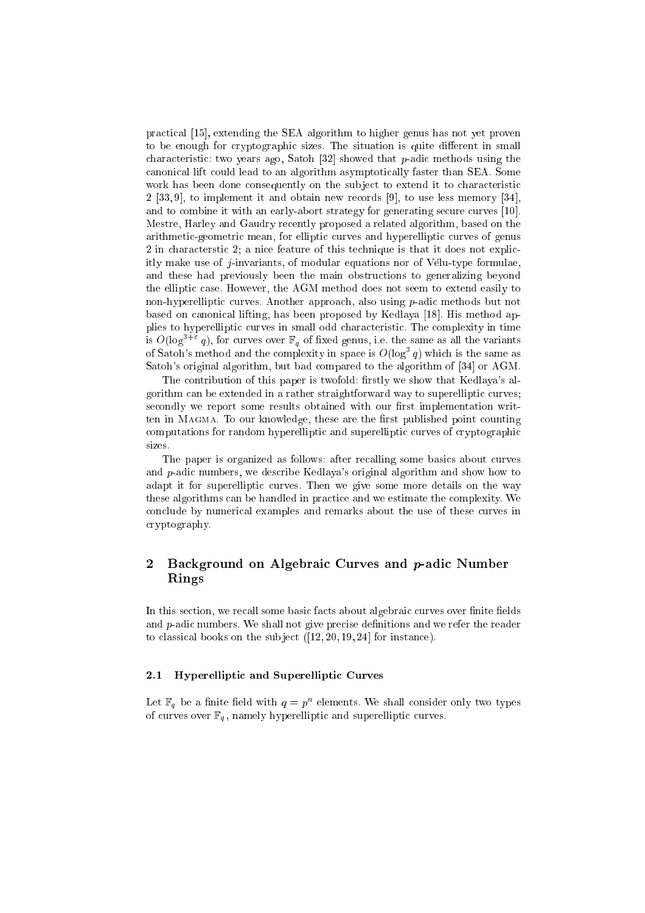practical [15], extending the SEA algorithm to higher genus has not yet proven to be enough for cryptographic sizes. The situation is quite different in small characteristic: two years ago, Satoh  $[32]$  showed that p-adic methods using the canonical lift could lead to an algorithm asymptotically faster than SEA. Some work has been done consequently on the subject to extend it to characteristic  $2$  [33, 9], to implement it and obtain new records [9], to use less memory [34]. and to combine it with an early-abort strategy for generating secure curves [10]. Mestre, Harley and Gaudry re
ently proposed a related algorithm, based on the arithmetic-geometric mean, for elliptic curves and hyperelliptic curves of genus 2 in characterstic 2; a nice feature of this technique is that it does not explicitly make use of  $j$ -invariants, of modular equations nor of Vélu-type formulae, and these had previously been the main obstru
tions to generalizing beyond the elliptic case. However, the AGM method does not seem to extend easily to non-hyperelliptic curves. Another approach, also using  $p$ -adic methods but not based on canonical lifting, has been proposed by Kedlaya [18]. His method applies to hyperelliptic curves in small odd characteristic. The complexity in time is  $O(\log^3+q)$ , for curves over  $\mathbb{F}_q$  of fixed genus, i.e. the same as all the variants of Satoh's method and the complexity in space is  $O(\log^3 q)$  which is the same as Satoh's original algorithm, but bad compared to the algorithm of [34] or AGM.

The contribution of this paper is twofold: firstly we show that Kedlaya's algorithm can be extended in a rather straightforward way to superelliptic curves; secondly we report some results obtained with our first implementation written in MAGMA. To our knowledge, these are the first published point counting computations for random hyperelliptic and superelliptic curves of cryptographic sizes.

The paper is organized as follows: after recalling some basics about curves and *p*-adic numbers, we describe Kedlaya's original algorithm and show how to adapt it for superelliptic curves. Then we give some more details on the way these algorithms can be handled in practice and we estimate the complexity. We conclude by numerical examples and remarks about the use of these curves in ryptography.

# 2 Background on Algebraic Curves and p-adic Number Rings

In this section, we recall some basic facts about algebraic curves over finite fields and  $p$ -adic numbers. We shall not give precise definitions and we refer the reader to classical books on the subject  $([12, 20, 19, 24]$  for instance).

## 2.1 Hyperelliptic and Superelliptic Curves

Let  $\mathbb{F}_q$  be a nilite field with  $q=p^+$  elements. We shall consider only two types of urves over Fq , namely hyperellipti and superellipti urves.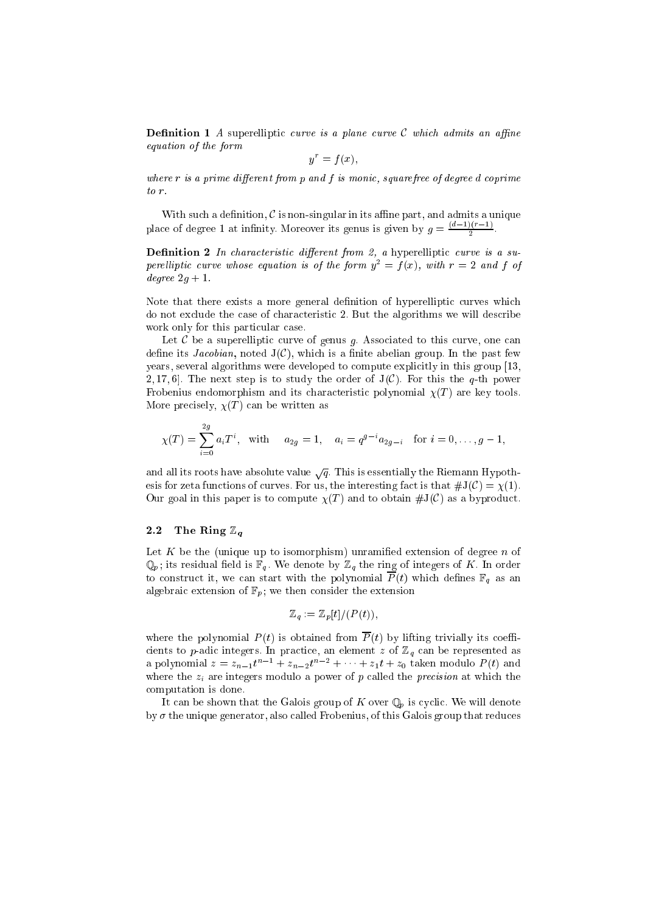**Definition 1** A superelliptic curve is a plane curve C which admits an affine equation of the form

$$
y^r = f(x),
$$

where r is a prime different from  $p$  and  $f$  is monic, squarefree of degree d coprime  $to r$ .

With such a definition,  $\mathcal C$  is non-singular in its affine part, and admits a unique place of degree 1 at infinity. Moreover its genus is given by  $q = \frac{\sqrt{3}}{2}$ .

**Definition 2** In characteristic different from 2, a hyperelliptic curve is a superelliptic curve whose equation is of the form  $y^2 = f(x)$ , with  $r = 2$  and f of degree  $2g + 1$ .

Note that there exists a more general definition of hyperelliptic curves which do not exclude the case of characteristic 2. But the algorithms we will describe work only for this particular case.

Let C be a superelliptic curve of genus q. Associated to this curve, one can define its *Jacobian*, noted  $J(\mathcal{C})$ , which is a finite abelian group. In the past few years, several algorithms were developed to compute explicitly in this group [13, 2, 17, 6. The next step is to study the order of  $J(\mathcal{C})$ . For this the q-th power Frobenius endomorphism and its characteristic polynomial  $\chi(T)$  are key tools. More precisely,  $\chi(T)$  can be written as

$$
\chi(T) = \sum_{i=0}^{2g} a_i T^i, \text{ with } a_{2g} = 1, a_i = q^{g-i} a_{2g-i} \text{ for } i = 0, \dots, g-1,
$$

and all its roots have absolute value  $\sqrt{q}$ . This is essentially the Riemann Hypothesis for zeta functions of curves. For us, the interesting fact is that  $\#J(\mathcal{C}) = \chi(1)$ . Our goal in this paper is to compute  $\chi(T)$  and to obtain  $\#J(\mathcal{C})$  as a byproduct.

#### 2.2 The Ring  $\mathbb{Z}_q$

Let  $K$  be the (unique up to isomorphism) unramified extension of degree  $n$  of  $\mathcal{R}^{n+1}$  is residual to residual integration of  $\mathcal{R}^{n+1}$  and  $\mathcal{R}^{n+1}$  of  $\mathcal{R}^{n+1}$  orders of  $\mathcal{R}^{n+1}$ to the polynomial problem with the problem and provided the control of the control  $\mu$  and the  $\mathbb{R}$  , we have the extension of Fp ; we then extension of the extension of

$$
\mathbb{Z}_q := \mathbb{Z}_p[t]/(P(t)),
$$

where the polynomial  $P(t)$  is obtained from  $\overline{P}(t)$  by lifting trivially its coeffiients to p-adicious control and practices in accounted as an official control of  $\mathcal{L}$ a polynomial  $z = z_{n-1}t_1 + z_{n-2}t_1 + z_1t + z_0$  taken modulo  $P(t)$  and where the  $\alpha$  are integrate modulo at power of p called the presentation at which are  $\alpha$ omputation is done.

it is a shown that the Galois group of the GM is the GM is the Galois group of the Galois of the Galois of the by  $\sigma$  the unique generator, also called Frobenius, of this Galois group that reduces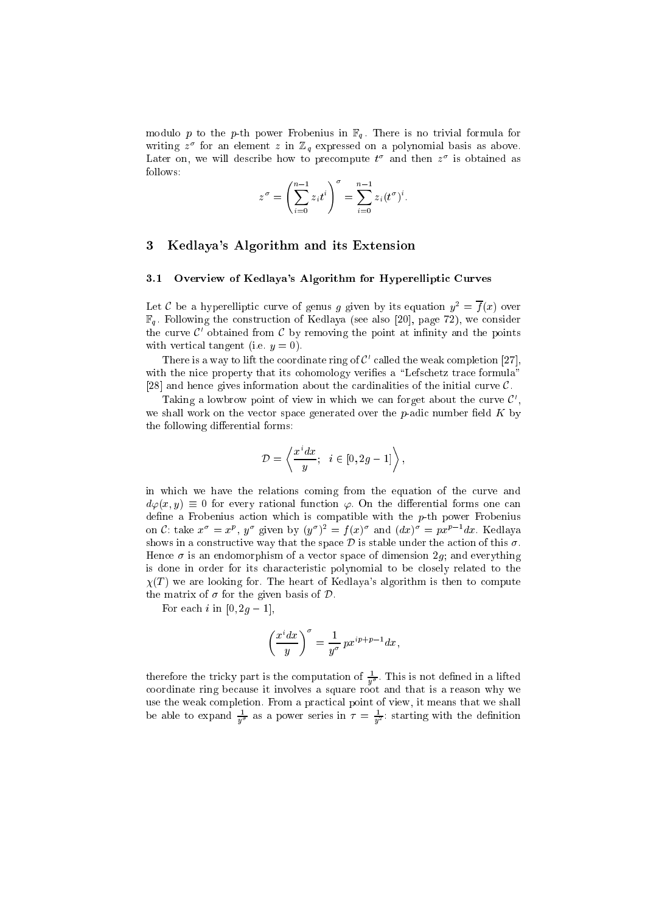modulo <sup>p</sup> to the p-th power Frobenius in Fq . There is no trivial formula for writing  $z^{\perp}$  for an element  $z$  in  $\mathbb{Z}_q$  expressed on a polynomial basis as above. Later on, we will describe now to precompute  $\iota^+$  and then  $z^-$  is obtained as follows:

$$
z^{\sigma} = \left(\sum_{i=0}^{n-1} z_i t^i\right)^{\sigma} = \sum_{i=0}^{n-1} z_i (t^{\sigma})^i.
$$

## 3 Kedlaya's Algorithm and its Extension

#### 3.1 Overview of Kedlaya's Algorithm for Hyperellipti Curves

Let C be a hyperelliptic curve of genus g given by its equation  $y^2 = \overline{f}(x)$  over Fq . Following the onstru
tion of Kedlaya (see also [20℄, page 72), we onsider the curve  $\epsilon$  -obtained from  $\epsilon$  by removing the point at infinity and the points with vertical tangent (i.e.  $y = 0$ ).

I here is a way to lift the coordinate ring of  $C^{\circ}$  called the weak completion  $Z(T)$ , with the nice property that its cohomology verifies a "Lefschetz trace formula" [28] and hence gives information about the cardinalities of the initial curve  $\mathcal{C}$ .

Taking a lowbrow point of view in which we can forget about the curve  $\epsilon$ , we shall work on the vector space generated over the  $p$ -adic number field  $K$  by the following differential forms:

$$
\mathcal{D} = \left\langle \frac{x^i dx}{y}; \quad i \in [0, 2g - 1] \right\rangle
$$

in which we have the relations coming from the equation of the curve and  $d\varphi(x,y) \equiv 0$  for every rational function  $\varphi$ . On the differential forms one can define a Frobenius action which is compatible with the  $p$ -th power Frobenius on  $\zeta$ : take  $x^* = x^p$ ,  $y^*$  given by  $(y^*)^* = f(x)^*$  and  $(ax)^* = px^p$  and  $(ax)^* = bx^p$ shows in a constructive way that the space  $D$  is stable under the action of this  $\sigma$ . Hence  $\sigma$  is an endomorphism of a vector space of dimension  $2g$ ; and everything is done in order for its hara
teristi polynomial to be losely related to the  $\chi(T)$  we are looking for. The heart of Kedlaya's algorithm is then to compute the matrix of  $\sigma$  for the given basis of  $\mathcal{D}$ .

For each i in  $[0, 2g-1]$ ,

$$
\left(\frac{x^i dx}{y}\right)^{\sigma} = \frac{1}{y^{\sigma}} p x^{i p + p - 1} dx,
$$

therefore the tricky part is the computation of  $\frac{1}{y^{\sigma}}$ . This is not defined in a lifted coordinate ring because it involves a square root and that is a reason why we use the weak completion. From a practical point of view, it means that we shall be able to expand  $\frac{1}{y^{\sigma}}$  as a power series in  $\tau = \frac{1}{y^2}$ : starting with the definition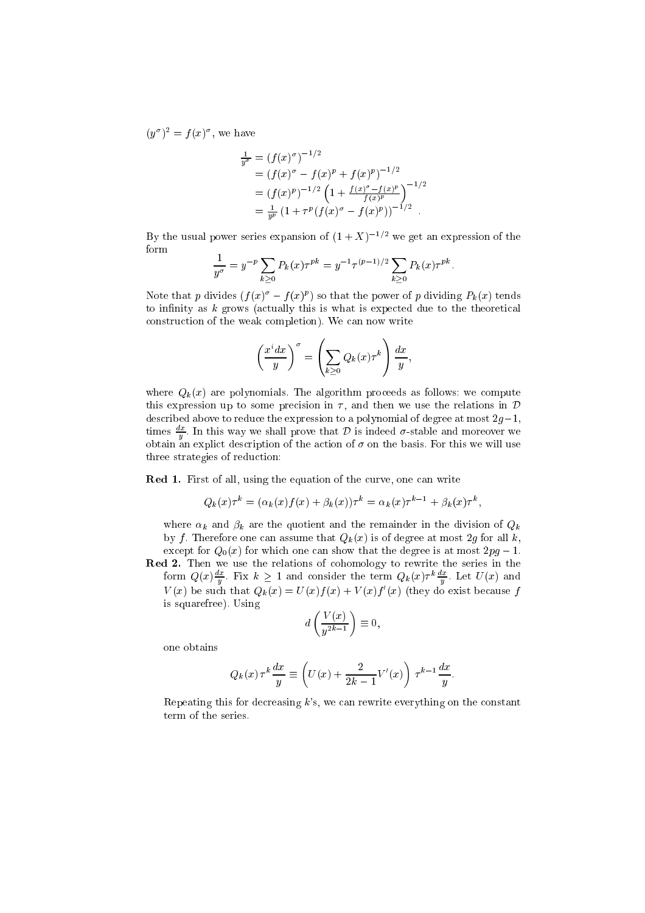$(y^-)^+ = f(x)^+$ , we have

$$
\frac{1}{y^{\sigma}} = (f(x)^{\sigma})^{-1/2}
$$
  
=  $(f(x)^{\sigma} - f(x)^p + f(x)^p)^{-1/2}$   
=  $(f(x)^p)^{-1/2} \left(1 + \frac{f(x)^{\sigma} - f(x)^p}{f(x)^p}\right)^{-1/2}$   
=  $\frac{1}{y^p} (1 + \tau^p (f(x)^{\sigma} - f(x)^p))^{-1/2}$ .

By the usual power series expansion of  $(1 + \Lambda)^{-1/2}$  we get an expression of the form

$$
\frac{1}{y^{\sigma}} = y^{-p} \sum_{k \ge 0} P_k(x) \tau^{pk} = y^{-1} \tau^{(p-1)/2} \sum_{k \ge 0} P_k(x) \tau^{pk}
$$

Note that p divides  $(f(x)^{-} - f(x)^{F})$  so that the power of p dividing  $P_k(x)$  tends to infinity as  $k$  grows (actually this is what is expected due to the theoretical construction of the weak completion). We can now write

$$
\left(\frac{x^i dx}{y}\right)^{\sigma} = \left(\sum_{k\geq 0} Q_k(x)\tau^k\right) \frac{dx}{y},
$$

where  $Q_k(x)$  are polynomials. The algorithm proceeds as follows: we compute this expression up to some precision in  $\tau$ , and then we use the relations in  $\mathcal D$ described above to reduce the expression to a polynomial of degree at most  $2g-1$ , times  $\rightleftharpoons$  . In this way we shall prove that  $\nu$  is indeed  $\sigma$ -stable and moreover we y. obtain an expli
t des
ription of the a
tion of on the basis. For this we will use three strategies of reduction:

Red 1. First of all, using the equation of the curve, one can write

$$
Q_k(x)\tau^k = (\alpha_k(x)f(x) + \beta_k(x))\tau^k = \alpha_k(x)\tau^{k-1} + \beta_k(x)\tau^k,
$$

where  $\alpha$  and  $\alpha$  are the state and the division of the division of  $\alpha$  and the division of  $\alpha$   $\alpha$ by f. Therefore one can assume that  $Q_k(x)$  is of degree at most 2g for all k, except for  $Q_0(x)$  for which one can show that the degree is at most  $2pg - 1$ .

Red 2. Then we use the relations of cohomology to rewrite the series in the form  $Q(x) = \frac{1}{y}$ . Fix  $\kappa \ge 1$  and consider the term  $Q_k(x) = \frac{1}{y}$ . Let  $U(x)$  and  $V(x)$  be such that  $Q_k(x) = U(x) f(x) + V(x) f(x)$  (they do exist because f is squarefree). Using  $\overline{\phantom{a}}$  $\sim$ 

$$
d\left(\frac{V(x)}{y^{2k-1}}\right) \equiv 0,
$$

one obtains

$$
Q_k(x)\,\tau^k\frac{dx}{y}\equiv \left(U(x)+\frac{2}{2k-1}V'(x)\right)\,\tau^{k-1}\frac{dx}{y}
$$

Repeating this for decreasing  $k$ 's, we can rewrite everything on the constant term of the series.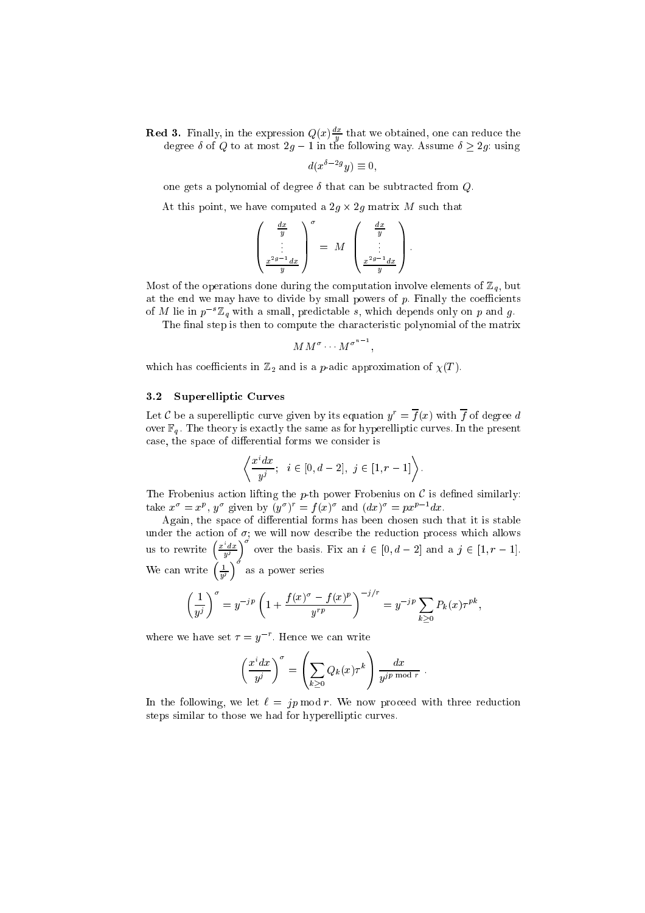**Red 3.** Finally, in the expression  $Q(x) = \frac{1}{y}$  that we obtained, one can reduce the degree  $\mathcal{L}$  , at most 2 in the following way. Assume  $\mathcal{L}$  in the following way. Assume  $\mathcal{L}$ 

$$
d(x^{\delta-2g}y) \equiv 0,
$$

one gets a polynomial of degree  $\delta$  that can be subtracted from  $Q$ .

a a channal point and we have a 2g matrix matrix matrix matrix matrix matrix matrix matrix matrix matrix matri

$$
\begin{pmatrix}\n\frac{dx}{y} \\
\vdots \\
\frac{x^{2g-1}dx}{y}\n\end{pmatrix}^{\sigma} = M \begin{pmatrix}\n\frac{dx}{y} \\
\vdots \\
\frac{x^{2g-1}dx}{y}\n\end{pmatrix}.
$$

Most of the operations done during the computation involve elements of  $\mathbb{Z}_q$ , but at the end we may have to divide by small powers of  $p$ . Finally the coefficients of  $M$  lie in  $p^{-1}\mathbb{Z}_q$  with a small, predictable  $s$ , which depends only on  $p$  and  $g$ .

The final step is then to compute the characteristic polynomial of the matrix

$$
M M^{\sigma} \cdots M^{\sigma^{n-1}}
$$

which has coefficients in  $\mathbb{Z}_2$  and is a *p*-adic approximation of  $\chi(T)$ .

# 3.2 Superellipti Curves

Let C be a superelliptic curve given by its equation  $y^r = \overline{f}(x)$  with  $\overline{f}$  of degree d urves. In the same as for the same as for hypersection as for hypersection as for hypersection and the present case, the space of differential forms we consider is

$$
\left\langle \frac{x^i dx}{y^j}; \quad i \in [0, d-2], \ j \in [1, r-1] \right\rangle.
$$

The Frobenius action lifting the  $p$ -th power Frobenius on  $\mathcal C$  is defined similarly: take  $x^2 = x^p$ ,  $y^2$  given by  $(y^2)^2 = f(x)^2$  and  $(ax)^2 = px^2$  ax.

Again, the spa
e of dierential forms has been hosen su
h that it is stable us to rewrite  $\left(\frac{x^i dx}{u^j}\right)^{\sigma}$  over the basis. Fix an  $i \in [0, d-2]$  and a  $j \in [1, r-1]$ . VΨ over the basis in interest and a set  $\mathcal{L}$  and a set  $\mathcal{L}$  and a set  $\mathcal{L}$ We can write  $\left(\frac{1}{y^j}\right)$  $\sqrt{U}$ as a power series

$$
\left(\frac{1}{y^j}\right)^{\sigma} = y^{-jp} \left(1 + \frac{f(x)^{\sigma} - f(x)^p}{y^{rp}}\right)^{-j/r} = y^{-jp} \sum_{k \ge 0} P_k(x) \tau^{pk},
$$

where we have set  $\tau = y$  . Hence we can write

$$
\left(\frac{x^i dx}{y^j}\right)^{\sigma} = \left(\sum_{k\geq 0} Q_k(x) \tau^k\right) \frac{dx}{y^{jp \mod r}}.
$$

In the following, we let  $\ell = ip \mod r$ . We now proceed with three reduction steps similar to those we had for hyperelliptic curves.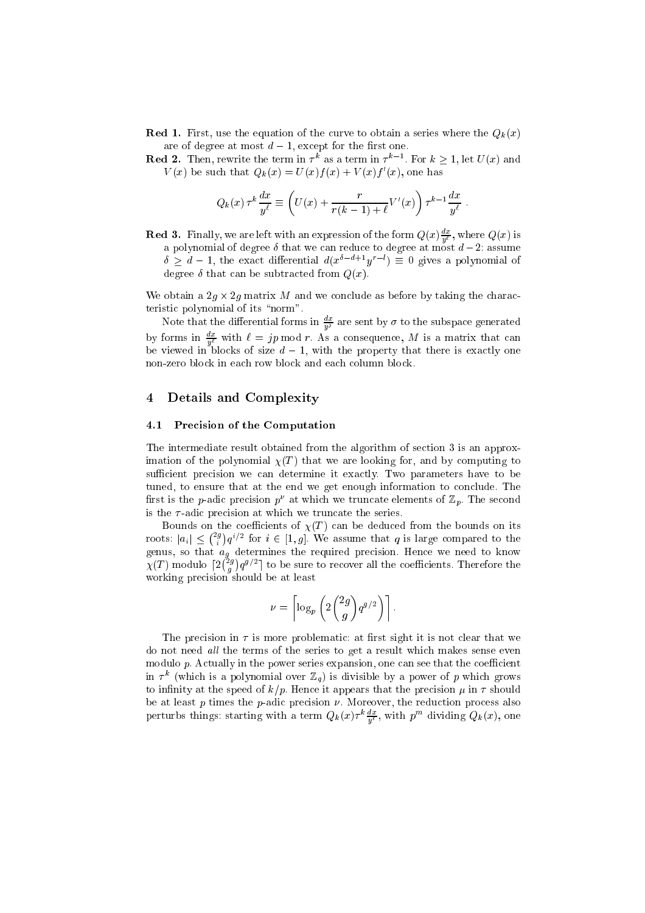- red in the extendion of the equation of the computer of the Chinese of the Chinese where  $\mathbf{v}_k$  (x) (x) are of degree at most  $d-1$ , except for the first one.
- **Red 2.** Then, rewrite the term in  $\tau$  as a term in  $\tau$  . For  $\kappa > 1$ , iet  $U(x)$  and  $V(x)$  be such that  $Q_k(x) = U(x) f(x) + V(x) f(x)$ , one has

$$
Q_k(x) \tau^k \frac{dx}{y^{\ell}} \equiv \left( U(x) + \frac{r}{r(k-1) + \ell} V'(x) \right) \tau^{k-1} \frac{dx}{y^{\ell}}
$$

**Red 3.** Finally, we are left with an expression of the form  $Q(x) \frac{d}{dt}$ , where  $Q(x)$  is a polynomial of degree  $\epsilon$  that we can reduce to degree at most  $\epsilon$  . The most  $\sigma > a-1$ , the exact differential  $a(x - y) = 0$  gives a polynomial of degree  $\delta$  that can be subtracted from  $Q(x)$ .

we as before a 2g matrix matrix matrix matrix matrix matrix of the second contracts. teristic polynomial of its "norm".

Note that the differential forms in  $\frac{1}{u^j}$  are sent by  $\sigma$  to the subspace generated by forms in  $\frac{d}{dt}$  with  $t = yp \mod r$ . As a consequence, M is a matrix that can be viewed in blocks of size  $d-1$ , with the property that there is exactly one non-zero block in each row block and each column block.

# 4 Details and Complexity

#### 4.1 Pre
ision of the Computation

The intermediate result obtained from the algorithm of section 3 is an approximation of the polynomial  $\chi(T)$  that we are looking for, and by computing to sufficient precision we can determine it exactly. Two parameters have to be tuned, to ensure that at the end we get enough information to conclude. The first is the p-adic precision  $p^+$  at which we truncate elements of  $\mathbb{Z}_p$ . I he second is the  $\tau$ -adic precision at which we truncate the series.

Bounds on the coefficients of  $\chi(T)$  can be deduced from the bounds on its roots: jai <sup>j</sup>  $(2g)$ i  $q^{\gamma}$  for  $i \in [1, q]$ . We assume that q is large compared to the genus, so that ag determines the requirement presented to know the resource  $\sim$  $\cdots$  $\binom{2g}{g}$  $\sim$  $q^{g}$  =  $\pm$  to be sure to recover all the coefficients. Therefore the working precision should be at least

$$
\nu = \left\lceil \log_p \left( 2 \binom{2g}{g} q^{g/2} \right) \right\rceil.
$$

The precision in  $\tau$  is more problematic: at first sight it is not clear that we do not need all the terms of the series to get a result which makes sense even modulo  $p$ . Actually in the power series expansion, one can see that the coefficient in  $\tau^{\cdot}$  (which is a polynomial over  $\mathbb{Z}_q$ ) is divisible by a power of p which grows to infinity at the speed of  $k/p$ . Hence it appears that the precision  $\mu$  in  $\tau$  should be at least p times the p-adic precision  $\nu$ . Moreover, the reduction process also perturbs things: starting with a term  $Q_k(x) \tau^{\alpha} \frac{\partial}{\partial x^{\beta}}$ , with  $p^{\alpha \alpha}$  dividing  $Q_k(x)$ , one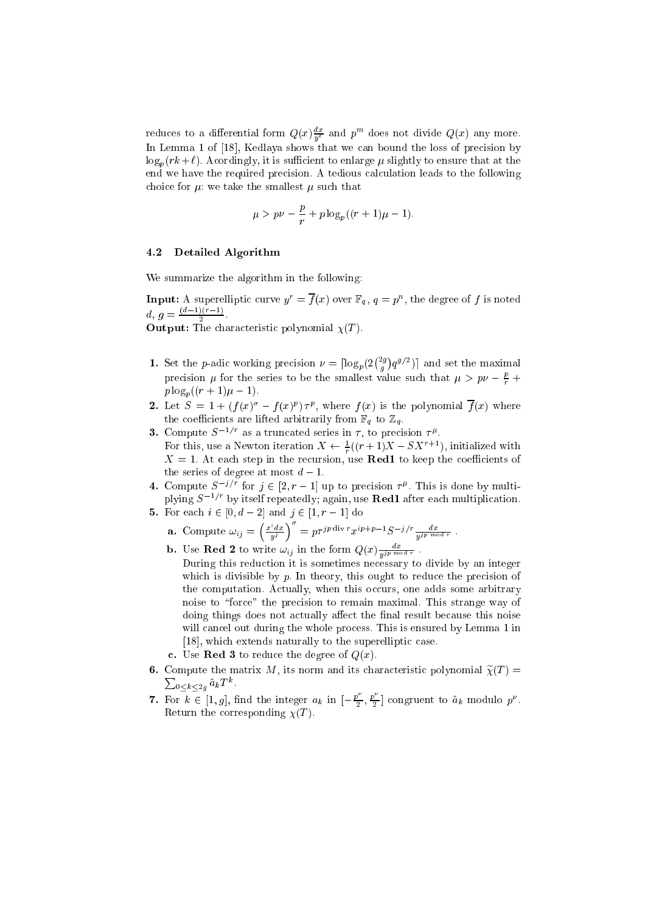reduces to a differential form  $Q(x)_{\overline{u^{\ell}}}$  and  $p^{\ldots}$  does not divide  $Q(x)$  any more. In Lemma 1 of  $[18]$ , Kedlaya shows that we can bound the loss of precision by  $\log_n(r k + \ell)$ . Acordingly, it is sufficient to enlarge  $\mu$  slightly to ensure that at the end we have the required precision. A tedious calculation leads to the following choice for  $\mu$ : we take the smallest  $\mu$  such that

$$
\mu > p\nu - \frac{p}{r} + p \log_p((r+1)\mu - 1).
$$

#### 4.2 Detailed Algorithm

We summarize the algorithm in the following:

**Input:** A superemptic curve  $y^* = f(x)$  over  $\mathbb{F}_q$ ,  $q = p^*$ , the degree of f is noted  $d, g = \frac{\sqrt{3}}{2}$ .  $\overline{\phantom{a}}$ 

Output: The hara
teristi polynomial (T ).

- 1. Set the *p*-adic working precision  $\nu = \lceil \log_p(2\binom{2g}{g}) \rceil$  q°′ )| and set the maximal precision  $\mu$  for the series to be the smallest value such that  $\mu > p\nu - \frac{\mu}{r} + \frac{\mu}{r}$  $\mathbf{r}$  - on ((r + 1)  $\mathbf{r}$  + 1).
- **4.** Let  $S = 1 + (I(x)^r I(x)^r) \tau^r$ , where  $I(x)$  is the polynomial  $I(x)$  where the components are lifted are lifted are  $\mathcal{I}_{\mathcal{I}}$  from Fq to  $\mathcal{I}_{\mathcal{I}}$
- **3.** Compute  $S^{-r}$  as a truncated series in  $\tau$ , to precision  $\tau^r$ . For this, use a Newton iteration  $\lambda \leftarrow \pm (r + 1)\lambda - 5\lambda$  is initialized with ie is the redistribution of the redistribution, which can be redistributed to keep the contribution of the series of degree at most  $d-1$ .
- 4. Compute  $S \rightarrow$  for  $j \in [2, r 1]$  up to precision  $\tau^r$ . This is done by multiplying  $S^{-1/r}$  by itself repeatedly; again, use **Red1** after each multiplication.
- **5.** For each  $i \in [0, d 2]$  and  $j \in [1, r 1]$  do
	- $\sim$  compute  $\sim$   $\mu$   $\mu$  $\left(\frac{x^i dx}{u^j}\right)$  $\int_0^b = p \tau^{jp \operatorname{div} r} x^{ip+p-1} S^{-j/r} \frac{dx}{u^{jp \mod r}}.$
	- **D.** Use **Red** 2 to write  $\omega_{ij}$  in the form  $Q(x)_{ij}$ <sub>njp</sub> mod r.
		- During this reduction it is sometimes necessary to divide by an integer which is divisible by  $p$ . In theory, this ought to reduce the precision of the computation. Actually, when this occurs, one adds some arbitrary noise to "force" the precision to remain maximal. This strange way of doing things does not actually affect the final result because this noise will cancel out during the whole process. This is ensured by Lemma 1 in [18], which extends naturally to the superelliptic case.
	- c. Use Red 3 to reduce the degree of  $Q(x)$ .
- 6. Compute the matrix M, its norm and its hara
teristi polynomial e(T ) =  $\sum_{0 \leq k \leq 2a} \tilde{a}_k T^k$ .
- 7. For  $k \in [1, g]$ , find the integer  $a_k$  in  $\left[-\frac{p}{2}, \frac{p}{2}\right]$  $\frac{1}{2}$ ] congruent to  $a_k$  modulo  $p$ . Return the corresponding  $\chi(T)$ .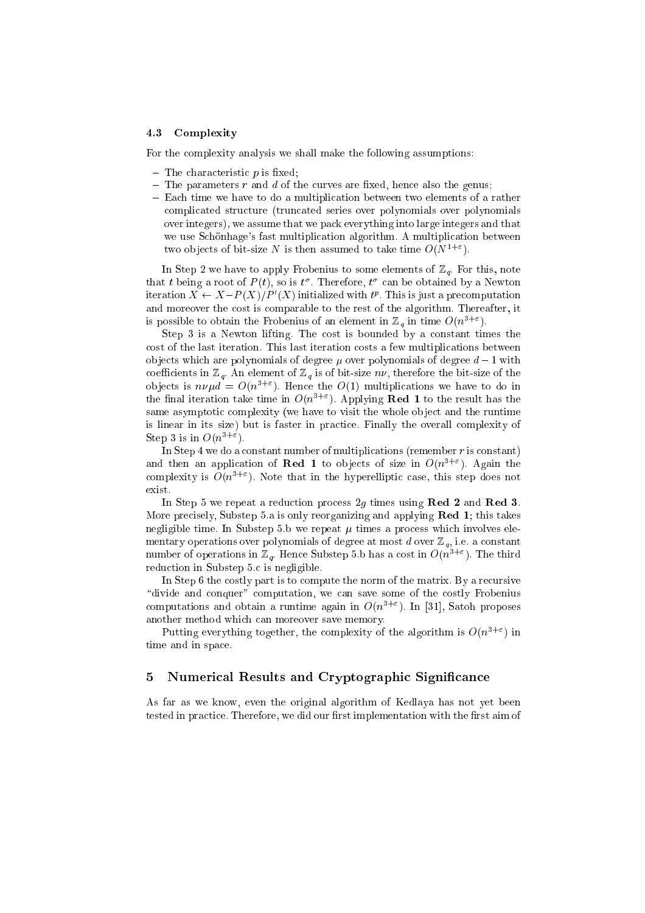#### 4.3 Complexity

For the omplexity analysis we shall make the following assumptions:

- $-$  The characteristic p is fixed;
- $\overline{\phantom{a}}$  The parameters r and d of the curves are fixed, hence also the genus;
- Each time we have to do a multiplication between two elements of a rather ompli
ated stru
ture (trun
ated series over polynomials over polynomials over integers), we assume that we pa
k everything into large integers and that we use Schönhage's fast multiplication algorithm. A multiplication between two objects of bit-size TV is then assumed to take time  $O(N^{1+\frac{1}{2}})$ .

In Step 2 we have to apply Frobenius to some elements of  $\mathbb{Z}_q$ . For this, note that t being a root of  $P(t)$ , so is the field theory of the call be obtained by a Newton iteration  $\Lambda \leftarrow \Lambda - P(\Lambda)/P$  ( $\Lambda$ ) initialized with  $t^p$  . This is just a precomputation and moreover the cost is comparable to the rest of the algorithm. Thereafter, it is possible to obtain the Frobenius of an element in  $\mathbb{Z}_q$  in time  $O(n^{s+1})$ .

Step 3 is a Newton lifting. The cost is bounded by a constant times the cost of the last iteration. This last iteration costs a few multiplications between objects which are polynomials of degree  $\mu$  over polynomials of degree  $d-1$  with oe extended in  $\alpha$  is of  $\alpha$  is of  $\alpha$  is of  $\alpha$  is of the bit-size  $\alpha$  is of the bit-size of the bit-size of the bit-size of the bit-size of the bit-size of the bit-size of the bit-size of the bit-size of the bit-si objects is  $n\nu\mu a = O(n^3+1)$ . Hence the  $O(1)$  multiplications we have to do in the imal iteration take time in  $O(n-1)$ . Applying **Red 1** to the result has the same asymptotic complexity (we have to visit the whole object and the runtime is linear in its size) but is faster in practice. Finally the overall complexity of  $\mathsf{Step}~3~\mathsf{is}~\mathsf{in}~\mathcal{O}(n^{3+1}).$ 

In Step 4 we do a constant number of multiplications (remember  $r$  is constant) and then an application of  $\bf{Re}a$  if to objects of size in  $O(n^{s+\varepsilon})$ . Again the complexity is  $O(n^{1+\epsilon})$ . Note that in the hyperelliptic case, this step does not exist.

In Step 5 we repeat a reduction process  $2g$  times using Red 2 and Red 3. More pre
isely, Substep 5.a is only reorganizing and applying Red 1; this takes negligible time. In Substep 5.b we repeat  $\mu$  times a process which involves elementary operations over polynomials of degree at most d over  $\mathbb{Z}_q$ , i.e. a constant number of operations in  $\mathbb{Z}_q$ . Hence substep 5.b has a cost in  $O(n^{s+1})$ . The third reduction in Substep 5.c is negligible.

In Step 6 the costly part is to compute the norm of the matrix. By a recursive "divide and conquer" computation, we can save some of the costly Frobenius computations and obtain a runtime again in  $O(n^{3+1})$ . In [31], Saton proposes another method which can moreover save memory.

Putting everything together, the complexity of the algorithm is  $O(n^{2+\varepsilon})$  in time and in spa
e.

### 5 Numerical Results and Cryptographic Significance

As far as we know, even the original algorithm of Kedlaya has not yet been tested in practice. Therefore, we did our first implementation with the first aim of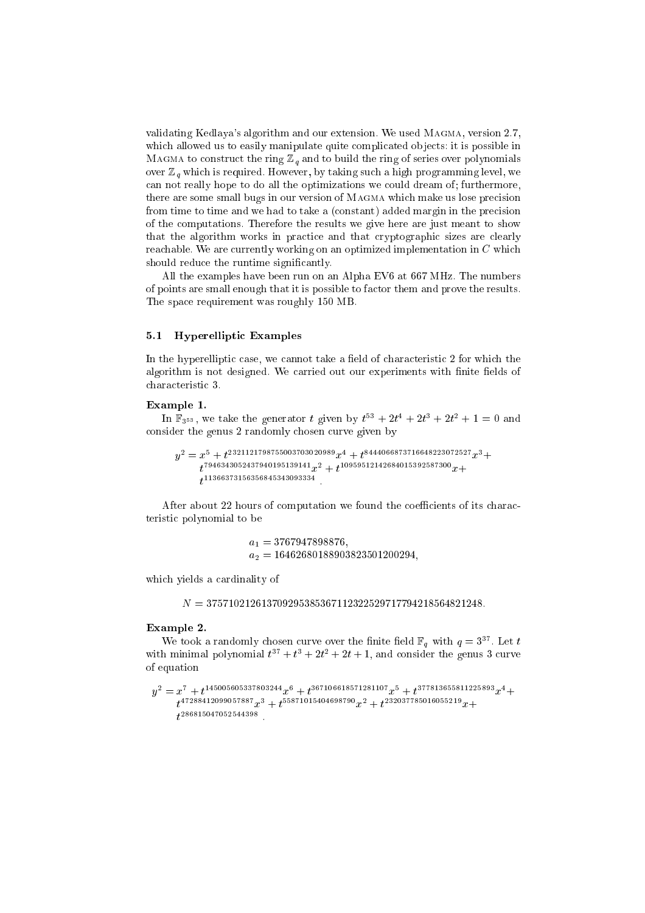validating Kedlaya's algorithm and our extension. We used Magma, version 2:7, which allowed us to easily manipulate quite complicated objects: it is possible in maga to the ring and the ring of series of series over polynomials and polynomials of series over polynomials over 20 a high programming level, by the programming level, and the programming level, and the programming lev an not really hope to do all the optimizations we ould dream of; furthermore, there are some small bugs in our version of Magma whi
h make us lose pre
ision from time to time and we had to take a (constant) added margin in the precision of the omputations. Therefore the results we give here are just meant to show that the algorithm works in practice and that cryptographic sizes are clearly reachable. We are currently working on an optimized implementation in C which should reduce the runtime significantly.

All the examples have been run on an Alpha EV6 at 667 MHz. The numbers of points are small enough that it is possible to factor them and prove the results. The spa
e requirement was roughly 150 MB.

#### 5.1 Hyperellipti Examples

In the hyperelliptic case, we cannot take a field of characteristic 2 for which the algorithm is not designed. We carried out our experiments with finite fields of hara
teristi 3.

#### Example 1.

In  $r_{353}$ , we take the generator  $t$  given by  $t^{-1} + 2t^{1} + 2t^{2} + 2t^{3} + 1 = 0$  and onsider the genus 2 randomly hosen urve given by

 $y^{-} = x^{+} + t^{-}$  $t^{3}$ <sup>11366373156356845343093334</sup>

After about 22 hours of computation we found the coefficients of its characteristi polynomial to be

$$
a_1 = 3767947898876,
$$
  

$$
a_2 = 16462680188903823501200294,
$$

which yields a cardinality of

#### Example 2.

We took a randomly chosen curve over the limite held  $\mathbb{F}_q$  with  $q = 3^{\circ}$ . Let t with minimal polynomial  $t^+ + t^- + 2t^- + 2t + 1$ , and consider the genus 5 curve of equation

 $y^{-} = x^{+} + t^{-}$  $t$ <sup>1</sup> <sup>286815047052544398</sup>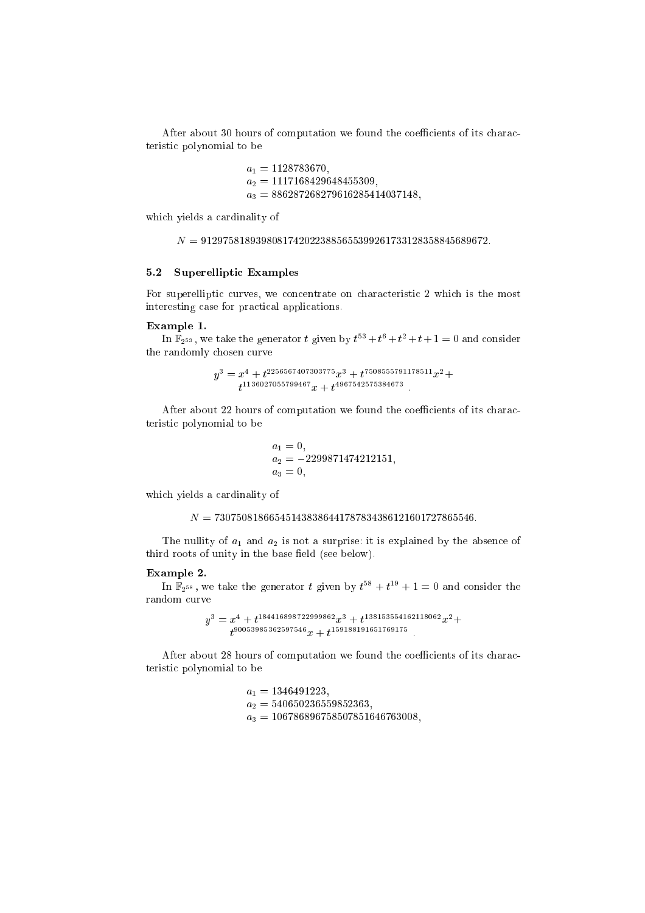After about 30 hours of computation we found the coefficients of its characteristi polynomial to be

$$
a_1 = 1128783670,
$$
  
\n
$$
a_2 = 1117168429648455309,
$$
  
\n
$$
a_3 = 886287268279616285414037148,
$$

whi
h yields a ardinality of

#### 5.2 Superellipti Examples

For superelliptic curves, we concentrate on characteristic 2 which is the most interesting case for practical applications.

### Example 1.

In  $r_{2^{53}}$  , we take the generator t given by  $t^+ + t^- + t^- + t + 1 = 0$  and consider the randomly hosen urve

$$
y^3 = x^4 + t^{2256567407303775}x^3 + t^{7508555791178511}x^2 +
$$
  

$$
t^{1136027055799467}x + t^{4967542575384673}
$$

After about 22 hours of computation we found the coefficients of its characteristi polynomial to be

$$
a_1 = 0,
$$
  
\n
$$
a_2 = -2299871474212151,
$$
  
\n
$$
a_3 = 0,
$$

which yields a cardinality of

$$
N = 730750818665451438386441787834386121601727865546
$$

The nullity of  $a_1$  and  $a_2$  is not a surprise: it is explained by the absence of third roots of unity in the base field (see below).

#### Example 2.

In  $r_2$ 58, we take the generator  $t$  given by  $t^- + t^- + 1 = 0$  and consider the random urve

> $y^2 = x^3 + t^3$  $t$ <sup>------------------</sup>  $x + t$ <sup>----------------------</sup>

After about 28 hours of computation we found the coefficients of its characteristi polynomial to be

> $a_1 = 1346491223,$  $a_2 = 540650236559852363,$  $a_3 = 106786896758507851646763008,$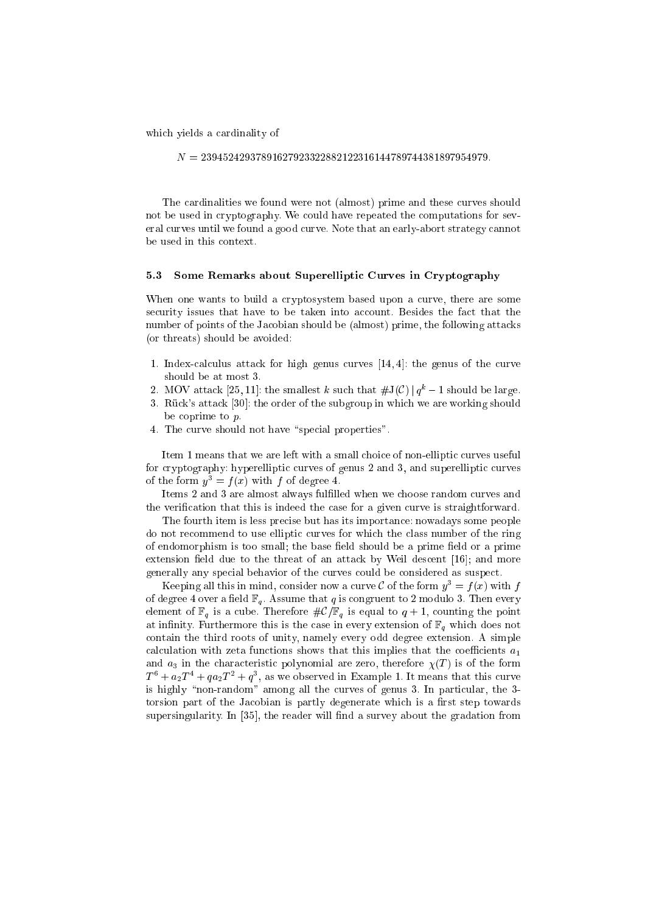which yields a cardinality of

The cardinalities we found were not (almost) prime and these curves should not be used in cryptography. We could have repeated the computations for several curves until we found a good curve. Note that an early-abort strategy cannot be used in this context.

#### 5.3 Some Remarks about Superellipti Curves in Cryptography

When one wants to build a cryptosystem based upon a curve, there are some security issues that have to be taken into account. Besides the fact that the number of points of the Jacobian should be (almost) prime, the following attacks (or threats) should be avoided:

- 1. Index-calculus attack for high genus curves  $[14, 4]$ : the genus of the curve should be at most 3.
- 2. MOV attack [25, 11]: the smallest k such that  $\#J(U)/q^2 = 1$  should be large.
- 3. Rück's attack  $[30]$ : the order of the subgroup in which we are working should be oprime to p.
- 4. The curve should not have "special properties".

Item 1 means that we are left with a small choice of non-elliptic curves useful for cryptography: hyperelliptic curves of genus 2 and 3, and superelliptic curves of the form  $y^3 = f(x)$  with f of degree 4.

Items 2 and 3 are almost always fulfilled when we choose random curves and the verification that this is indeed the case for a given curve is straightforward.

The fourth item is less pre
ise but has its importan
e: nowadays some people do not recommend to use elliptic curves for which the class number of the ring of endomorphism is too small; the base field should be a prime field or a prime extension field due to the threat of an attack by Weil descent  $[16]$ ; and more generally any spe
ial behavior of the urves ould be onsidered as suspe
t.

Keeping all this in mind, consider now a curve C of the form  $y^3 = f(x)$  with f of a complete the state of the state forms of the completence of the state of the state  $\mathcal{A}$ element of the point of the point of the point of the point of the point of the point of the point of the point of the point of the point of the point of the point of the point of the point of the point of the point of the  $\mathbf u$ ontain the third roots of unity, namely every odd degree extension. A simple calculation with zeta functions shows that this implies that the coefficients  $a_1$ and  $a_3$  in the characteristic polynomial are zero, therefore  $\chi(T)$  is of the form  $T^+ + a_2T^+ + qa_2T^+ + q^-,$  as we observed in Example 1. It means that this curve is highly "non-random" among all the curves of genus 3. In particular, the 3torsion part of the Jacobian is partly degenerate which is a first step towards supersingularity. In  $[35]$ , the reader will find a survey about the gradation from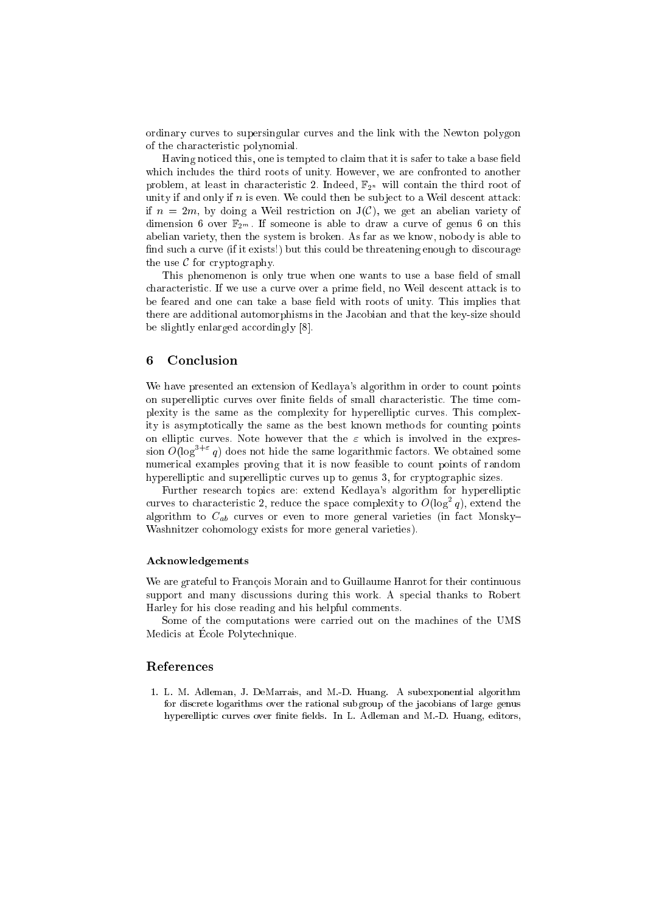ordinary urves to supersingular urves and the link with the Newton polygon of the hara
teristi polynomial.

Having noticed this, one is tempted to claim that it is safer to take a base field which includes the third roots of unity. However, we are confronted to another problem, at least in characteristic 2. Indeed,  $\mathbb{F}_{2^n}$  will contain the third root of unity if and only if  $n$  is even. We could then be subject to a Weil descent attack: if  $n = 2m$ , by doing a Weil restriction on  $J(\mathcal{C})$ , we get an abelian variety of dimension 6 over  $\mathbb{F}_{2^m}$ . If someone is able to draw a curve of genus 6 on this abelian variety, then the system is broken. As far as we know, nobody is able to find such a curve (if it exists!) but this could be threatening enough to discourage the use  $\mathcal C$  for cryptography.

This phenomenon is only true when one wants to use a base field of small characteristic. If we use a curve over a prime field, no Weil descent attack is to be feared and one can take a base field with roots of unity. This implies that there are additional automorphisms in the Ja
obian and that the key-size should be slightly enlarged accordingly [8].

# 6 Con
lusion

We have presented an extension of Kedlaya's algorithm in order to count points on superelliptic curves over finite fields of small characteristic. The time complexity is the same as the complexity for hyperelliptic curves. This complexity is asymptoti
ally the same as the best known methods for ounting points on elliptic curves. Note however that the  $\varepsilon$  which is involved in the expression  $O(\log^3+q)$  does not hide the same logarithmic factors. We obtained some numerical examples proving that it is now feasible to count points of random hyperelliptic and superelliptic curves up to genus 3, for cryptographic sizes.

Further research topics are: extend Kedlaya's algorithm for hyperelliptic curves to characteristic 2, reduce the space complexity to  $U(\log^+q)$ , extend the urgessischen der Cab der der der der Stellen varietiese (in false einer der Stellen) Washnitzer ohomology exists for more general varieties).

#### **Acknowledgements**

We are grateful to François Morain and to Guillaume Hanrot for their continuous support and many discussions during this work. A special thanks to Robert Harley for his lose reading and his helpful omments.

Some of the computations were carried out on the machines of the UMS Medicis at École Polytechnique.

#### Referen
es

1. L. M. Adleman, J. DeMarrais, and M.-D. Huang. A subexponential algorithm for dis
rete logarithms over the rational subgroup of the ja
obians of large genus hyperelliptic curves over finite fields. In L. Adleman and M.-D. Huang, editors,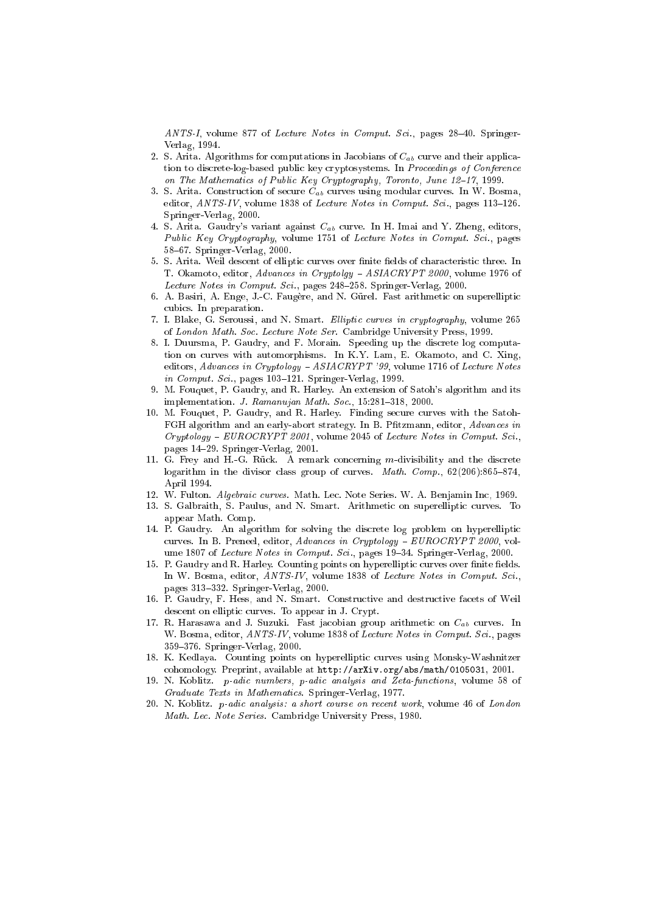ANTS-I, volume 877 of Lecture Notes in Comput. Sci., pages 28-40. Springer-Verlag, 1994.

- 2. S. Arita. Algorithms for computations in Jacobians of  $C_{ab}$  curve and their application to discrete-log-based public key cryptosystems. In Proceedings of Conference on The Mathematics of Public Key Cryptography, Toronto, June 12-17, 1999.
- 3. S. Arita. Construction of secure  $C_{ab}$  curves using modular curves. In W. Bosma, editor,  $ANTS-IV$ , volume 1838 of *Lecture Notes in Comput. Sci.*, pages 113-126. Springer-Verlag, 2000.
- 4. S. Arita. Gaudry's variant against  $C_{ab}$  curve. In H. Imai and Y. Zheng, editors, Public Key Cryptography, volume 1751 of Lecture Notes in Comput. Sci., pages 58{67. Springer-Verlag, 2000.
- 5. S. Arita. Weil descent of elliptic curves over finite fields of characteristic three. In T. Okamoto, editor, Advances in Cryptolgy - ASIACRYPT 2000, volume 1976 of Lecture Notes in Comput. Sci., pages 248-258. Springer-Verlag, 2000.
- 6. A. Basiri, A. Enge, J.-C. Faugère, and N. Gürel. Fast arithmetic on superelliptic cubics. In preparation. s. In preparation of the present state of the set of the set of the set of the set of the set of the set of the
- 7. I. Blake, G. Seroussi, and N. Smart. *Elliptic curves in cryptography*, volume 265 of London Math. So
. Le
ture Note Ser. Cambridge University Press, 1999.
- 8. I. Duursma, P. Gaudry, and F. Morain. Speeding up the dis
rete log omputation on urves with automorphisms. In K.Y. Lam, E. Okamoto, and C. Xing, editors, Advances in Cryptology - ASIACRYPT '99, volume 1716 of Lecture Notes in Comput. Sci., pages 103-121. Springer-Verlag, 1999.
- 9. M. Fouquet, P. Gaudry, and R. Harley. An extension of Satoh's algorithm and its implementation. *J. Ramanujan Math. Soc.*,  $15:281-318$ ,  $2000$ .
- 10. M. Fouquet, P. Gaudry, and R. Harley. Finding secure curves with the Satoh-FGH algorithm and an early-abort strategy. In B. Pfitzmann, editor, Advances in  $Cryptography - EUROCRYPT 2001$ , volume 2045 of Lecture Notes in Comput. Sci., pages 14{29. Springer-Verlag, 2001.
- 11. G. Frey and H.-G. Rück. A remark concerning m-divisibility and the discrete logarithm in the divisor class group of curves. Math. Comp.,  $62(206):865-874$ , April 1994.
- 12. W. Fulton. *Algebraic curves*. Math. Lec. Note Series. W. A. Benjamin Inc, 1969.
- 13. S. Galbraith, S. Paulus, and N. Smart. Arithmetic on superelliptic curves. To appear Math. Comp.
- 14. P. Gaudry. An algorithm for solving the dis
rete log problem on hyperellipti curves. In B. Preneel, editor,  $Advances$  in Cryptology -  $EUROCRYPT$  2000, volume 1807 of Lecture Notes in Comput. Sci., pages 19-34. Springer-Verlag, 2000.
- 15. P. Gaudry and R. Harley. Counting points on hyperelliptic curves over finite fields. In W. Bosma, editor, ANTS-IV, volume 1838 of Lecture Notes in Comput. Sci., pages 313-332. Springer-Verlag, 2000.
- 16. P. Gaudry, F. Hess, and N. Smart. Constructive and destructive facets of Weil descent on elliptic curves. To appear in J. Crypt.
- 17. R. Harasawa and J. Suzuki. Fast jacobian group arithmetic on  $C_{ab}$  curves. In W. Bosma, editor, ANTS-IV, volume 1838 of Lecture Notes in Comput. Sci., pages 359-376. Springer-Verlag, 2000.
- 18. K. Kedlaya. Counting points on hyperelliptic curves using Monsky-Washnitzer ohomology. Preprint, available at http://arXiv.org/abs/math/0105031, 2001.
- 19. N. Koblitz. p-adic numbers, p-adic analysis and Zeta-functions, volume 58 of Graduate Texts in Mathemati
s. Springer-Verlag, 1977.
- 20. N. Koblitz. p-adic analysis: a short course on recent work, volume 46 of London Math. Le
. Note Series. Cambridge University Press, 1980.